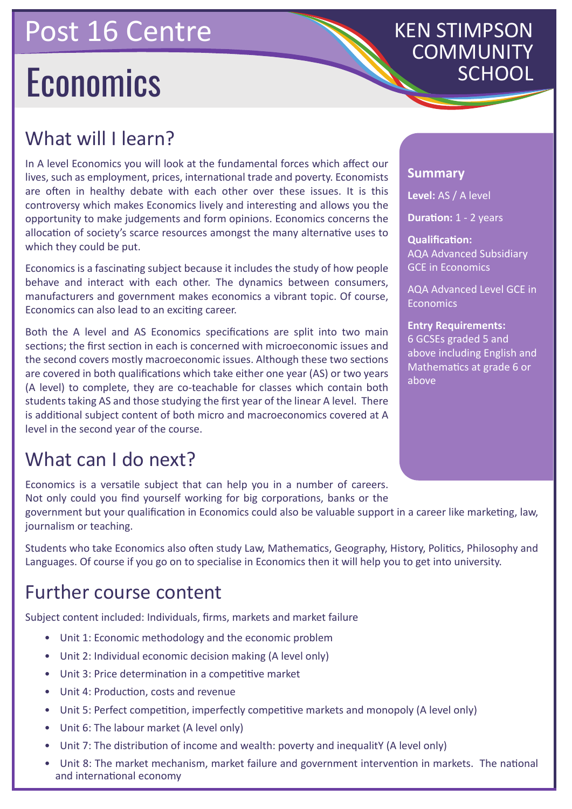## Post 16 Centre

# **Economics**

# KEN STIMPSON COMMUNITY

## What will I learn?

In A level Economics you will look at the fundamental forces which affect our lives, such as employment, prices, international trade and poverty. Economists are often in healthy debate with each other over these issues. It is this controversy which makes Economics lively and interesting and allows you the opportunity to make judgements and form opinions. Economics concerns the allocation of society's scarce resources amongst the many alternative uses to which they could be put.

Economics is a fascinating subject because it includes the study of how people behave and interact with each other. The dynamics between consumers, manufacturers and government makes economics a vibrant topic. Of course, Economics can also lead to an exciting career.

Both the A level and AS Economics specifications are split into two main sections; the first section in each is concerned with microeconomic issues and the second covers mostly macroeconomic issues. Although these two sections are covered in both qualifications which take either one year (AS) or two years (A level) to complete, they are co-teachable for classes which contain both students taking AS and those studying the first year of the linear A level. There is additional subject content of both micro and macroeconomics covered at A level in the second year of the course.

## What can I do next?

Economics is a versatile subject that can help you in a number of careers. Not only could you find yourself working for big corporations, banks or the

#### **Summary**

**Level:** AS / A level

**Duration:** 1 - 2 years

**Qualification:** AQA Advanced Subsidiary GCE in Economics

AQA Advanced Level GCE in Economics

**Entry Requirements:** 6 GCSEs graded 5 and above including English and Mathematics at grade 6 or above

government but your qualification in Economics could also be valuable support in a career like marketing, law, journalism or teaching.

Students who take Economics also often study Law, Mathematics, Geography, History, Politics, Philosophy and Languages. Of course if you go on to specialise in Economics then it will help you to get into university.

### Further course content

Subject content included: Individuals, firms, markets and market failure

- Unit 1: Economic methodology and the economic problem
- Unit 2: Individual economic decision making (A level only)
- Unit 3: Price determination in a competitive market
- Unit 4: Production, costs and revenue
- Unit 5: Perfect competition, imperfectly competitive markets and monopoly (A level only)
- Unit 6: The labour market (A level only)
- Unit 7: The distribution of income and wealth: poverty and inequalitY (A level only)
- Unit 8: The market mechanism, market failure and government intervention in markets. The national and international economy